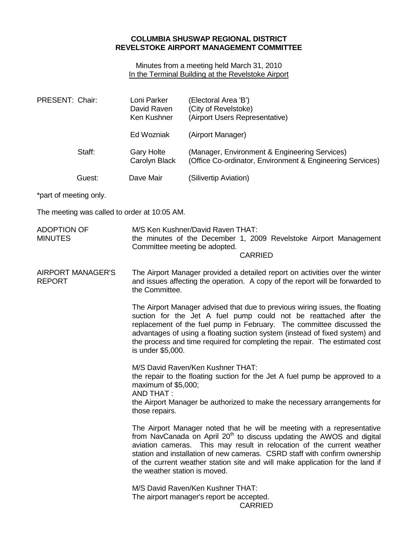## **COLUMBIA SHUSWAP REGIONAL DISTRICT REVELSTOKE AIRPORT MANAGEMENT COMMITTEE**

Minutes from a meeting held March 31, 2010 In the Terminal Building at the Revelstoke Airport

| PRESENT: Chair:                      |        | Loni Parker<br>David Raven<br>Ken Kushner                                                                                                                                                                                                                                                                                                                                                                                              | (Electoral Area 'B')<br>(City of Revelstoke)<br>(Airport Users Representative)                             |  |  |
|--------------------------------------|--------|----------------------------------------------------------------------------------------------------------------------------------------------------------------------------------------------------------------------------------------------------------------------------------------------------------------------------------------------------------------------------------------------------------------------------------------|------------------------------------------------------------------------------------------------------------|--|--|
|                                      |        | Ed Wozniak                                                                                                                                                                                                                                                                                                                                                                                                                             | (Airport Manager)                                                                                          |  |  |
|                                      | Staff: | <b>Gary Holte</b><br>Carolyn Black                                                                                                                                                                                                                                                                                                                                                                                                     | (Manager, Environment & Engineering Services)<br>(Office Co-ordinator, Environment & Engineering Services) |  |  |
|                                      | Guest: | Dave Mair                                                                                                                                                                                                                                                                                                                                                                                                                              | (Silivertip Aviation)                                                                                      |  |  |
| *part of meeting only.               |        |                                                                                                                                                                                                                                                                                                                                                                                                                                        |                                                                                                            |  |  |
|                                      |        | The meeting was called to order at 10:05 AM.                                                                                                                                                                                                                                                                                                                                                                                           |                                                                                                            |  |  |
| <b>ADOPTION OF</b><br><b>MINUTES</b> |        | M/S Ken Kushner/David Raven THAT:<br>the minutes of the December 1, 2009 Revelstoke Airport Management<br>Committee meeting be adopted.<br><b>CARRIED</b>                                                                                                                                                                                                                                                                              |                                                                                                            |  |  |
| AIRPORT MANAGER'S<br><b>REPORT</b>   |        | The Airport Manager provided a detailed report on activities over the winter<br>and issues affecting the operation. A copy of the report will be forwarded to<br>the Committee.                                                                                                                                                                                                                                                        |                                                                                                            |  |  |
|                                      |        | The Airport Manager advised that due to previous wiring issues, the floating<br>suction for the Jet A fuel pump could not be reattached after the<br>replacement of the fuel pump in February. The committee discussed the<br>advantages of using a floating suction system (instead of fixed system) and<br>the process and time required for completing the repair. The estimated cost<br>is under \$5,000.                          |                                                                                                            |  |  |
|                                      |        | M/S David Raven/Ken Kushner THAT:<br>the repair to the floating suction for the Jet A fuel pump be approved to a<br>maximum of $$5,000$ ;<br><b>AND THAT:</b><br>the Airport Manager be authorized to make the necessary arrangements for<br>those repairs.                                                                                                                                                                            |                                                                                                            |  |  |
|                                      |        | The Airport Manager noted that he will be meeting with a representative<br>from NavCanada on April 20 <sup>th</sup> to discuss updating the AWOS and digital<br>aviation cameras. This may result in relocation of the current weather<br>station and installation of new cameras. CSRD staff with confirm ownership<br>of the current weather station site and will make application for the land if<br>the weather station is moved. |                                                                                                            |  |  |
|                                      |        | M/S David Raven/Ken Kushner THAT:<br>The airport manager's report be accepted.<br><b>CARRIED</b>                                                                                                                                                                                                                                                                                                                                       |                                                                                                            |  |  |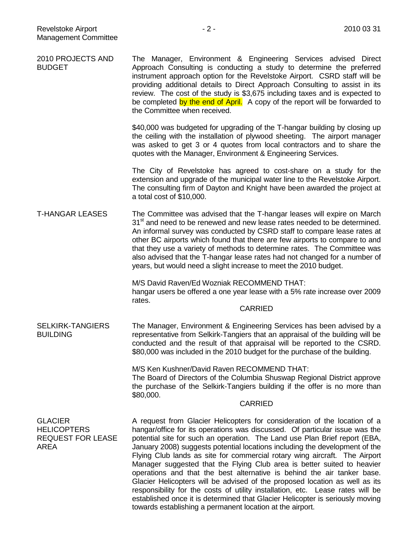| 2010 PROJECTS AND<br><b>BUDGET</b>                                       | The Manager, Environment & Engineering Services advised Direct<br>Approach Consulting is conducting a study to determine the preferred<br>instrument approach option for the Revelstoke Airport. CSRD staff will be<br>providing additional details to Direct Approach Consulting to assist in its<br>review. The cost of the study is \$3,675 including taxes and is expected to<br>be completed by the end of April. A copy of the report will be forwarded to<br>the Committee when received.                                                                                                                                                                                                                                                                                                            |
|--------------------------------------------------------------------------|-------------------------------------------------------------------------------------------------------------------------------------------------------------------------------------------------------------------------------------------------------------------------------------------------------------------------------------------------------------------------------------------------------------------------------------------------------------------------------------------------------------------------------------------------------------------------------------------------------------------------------------------------------------------------------------------------------------------------------------------------------------------------------------------------------------|
|                                                                          | \$40,000 was budgeted for upgrading of the T-hangar building by closing up<br>the ceiling with the installation of plywood sheeting. The airport manager<br>was asked to get 3 or 4 quotes from local contractors and to share the<br>quotes with the Manager, Environment & Engineering Services.                                                                                                                                                                                                                                                                                                                                                                                                                                                                                                          |
|                                                                          | The City of Revelstoke has agreed to cost-share on a study for the<br>extension and upgrade of the municipal water line to the Revelstoke Airport.<br>The consulting firm of Dayton and Knight have been awarded the project at<br>a total cost of \$10,000.                                                                                                                                                                                                                                                                                                                                                                                                                                                                                                                                                |
| <b>T-HANGAR LEASES</b>                                                   | The Committee was advised that the T-hangar leases will expire on March<br>31 <sup>st</sup> and need to be renewed and new lease rates needed to be determined.<br>An informal survey was conducted by CSRD staff to compare lease rates at<br>other BC airports which found that there are few airports to compare to and<br>that they use a variety of methods to determine rates. The Committee was<br>also advised that the T-hangar lease rates had not changed for a number of<br>years, but would need a slight increase to meet the 2010 budget.                                                                                                                                                                                                                                                    |
|                                                                          | M/S David Raven/Ed Wozniak RECOMMEND THAT:<br>hangar users be offered a one year lease with a 5% rate increase over 2009<br>rates.<br><b>CARRIED</b>                                                                                                                                                                                                                                                                                                                                                                                                                                                                                                                                                                                                                                                        |
| <b>SELKIRK-TANGIERS</b><br><b>BUILDING</b>                               | The Manager, Environment & Engineering Services has been advised by a<br>representative from Selkirk-Tangiers that an appraisal of the building will be<br>conducted and the result of that appraisal will be reported to the CSRD.<br>\$80,000 was included in the 2010 budget for the purchase of the building.                                                                                                                                                                                                                                                                                                                                                                                                                                                                                           |
|                                                                          | M/S Ken Kushner/David Raven RECOMMEND THAT:<br>The Board of Directors of the Columbia Shuswap Regional District approve<br>the purchase of the Selkirk-Tangiers building if the offer is no more than<br>\$80,000.<br><b>CARRIED</b>                                                                                                                                                                                                                                                                                                                                                                                                                                                                                                                                                                        |
| <b>GLACIER</b><br><b>HELICOPTERS</b><br><b>REQUEST FOR LEASE</b><br>AREA | A request from Glacier Helicopters for consideration of the location of a<br>hangar/office for its operations was discussed. Of particular issue was the<br>potential site for such an operation. The Land use Plan Brief report (EBA,<br>January 2008) suggests potential locations including the development of the<br>Flying Club lands as site for commercial rotary wing aircraft. The Airport<br>Manager suggested that the Flying Club area is better suited to heavier<br>operations and that the best alternative is behind the air tanker base.<br>Glacier Helicopters will be advised of the proposed location as well as its<br>responsibility for the costs of utility installation, etc. Lease rates will be<br>established once it is determined that Glacier Helicopter is seriously moving |

towards establishing a permanent location at the airport.